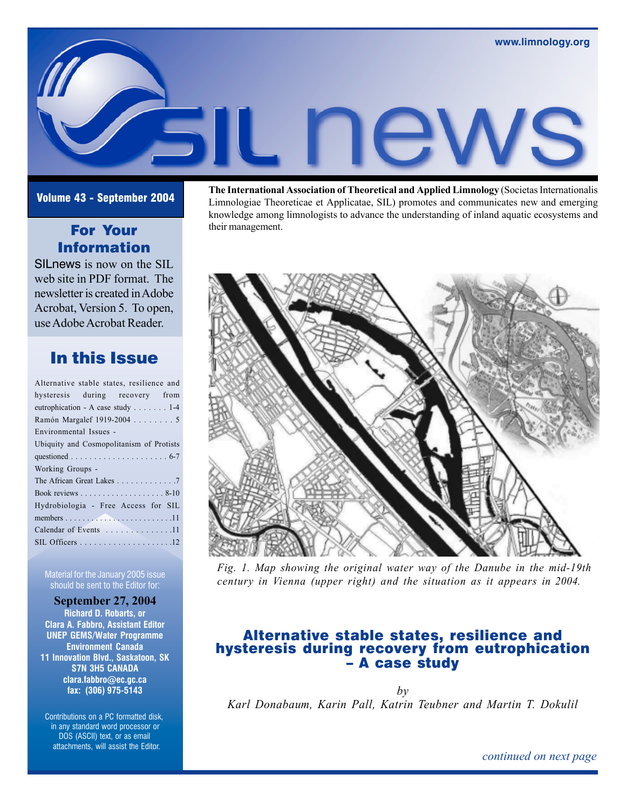# For Your Information

SILnews is now on the SIL web site in PDF format. The newsletter is created in Adobe Acrobat, Version 5. To open, use Adobe Acrobat Reader.

# In this Issue

| Alternative stable states, resilience and |
|-------------------------------------------|
| hysteresis during recovery from           |
| eutrophication - A case study 1-4         |
| Ramón Margalef 1919-2004 5                |
| Environmental Issues -                    |
| Ubiquity and Cosmopolitanism of Protists  |
|                                           |
| Working Groups -                          |
| The African Great Lakes 7                 |
|                                           |
| Hydrobiologia - Free Access for SIL       |
|                                           |
| Calendar of Events 11                     |
|                                           |

Material for the January 2005 issue should be sent to the Editor for:

 **September 27, 2004 Richard D. Robarts, or Clara A. Fabbro, Assistant Editor UNEP GEMS/Water Programme Environment Canada 11 Innovation Blvd., Saskatoon, SK S7N 3H5 CANADA clara.fabbro@ec.gc.ca fax: (306) 975-5143**

 Contributions on a PC formatted disk, in any standard word processor or DOS (ASCII) text, or as email attachments, will assist the Editor.

**Volume 43 - September 2004 The International Association of Theoretical and Applied Limnology** (Societas Internationalis **Volume 43 - September 2004 The International Association of Theoretical and Applied Limnology** Limnologiae Theoreticae et Applicatae, SIL) promotes and communicates new and emerging knowledge among limnologists to advance the understanding of inland aquatic ecosystems and their management.



*Fig. 1. Map showing the original water way of the Danube in the mid-19th century in Vienna (upper right) and the situation as it appears in 2004.*

# Alternative stable states, resilience and hysteresis during recovery from eutrophication – A case study

*by Karl Donabaum, Karin Pall, Katrin Teubner and Martin T. Dokulil*

*continued on next page*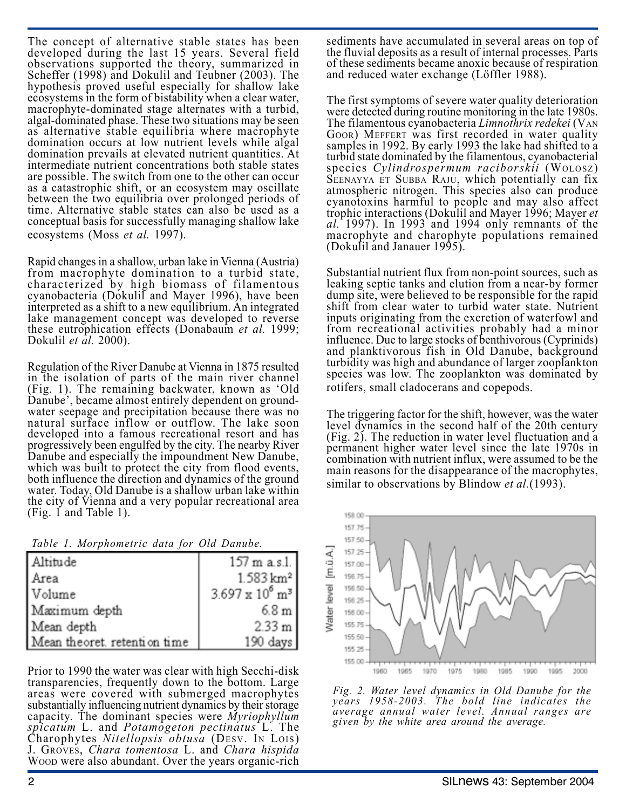The concept of alternative stable states has been developed during the last 15 years. Several field observations supported the theory, summarized in Scheffer (1998) and Dokulil and Teubner (2003). The hypothesis proved useful especially for shallow lake ecosystems in the form of bistability when a clear water, macrophyte-dominated stage alternates with a turbid, algal-dominated phase. These two situations may be seen as alternative stable equilibria where macrophyte domination occurs at low nutrient levels while algal domination prevails at elevated nutrient quantities. At intermediate nutrient concentrations both stable states are possible. The switch from one to the other can occur as a catastrophic shift, or an ecosystem may oscillate between the two equilibria over prolonged periods of time. Alternative stable states can also be used as a conceptual basis for successfully managing shallow lake ecosystems (Moss *et al.* 1997).

Rapid changes in a shallow, urban lake in Vienna (Austria) from macrophyte domination to a turbid state, characterized by high biomass of filamentous cyanobacteria (Dokulil and Mayer 1996), have been interpreted as a shift to a new equilibrium. An integrated lake management concept was developed to reverse these eutrophication effects (Donabaum *et al.* 1999; Dokulil *et al.* 2000).

Regulation of the River Danube at Vienna in 1875 resulted in the isolation of parts of the main river channel (Fig. 1). The remaining backwater, known as 'Old Danube', became almost entirely dependent on groundwater seepage and precipitation because there was no natural surface inflow or outflow. The lake soon developed into a famous recreational resort and has progressively been engulfed by the city. The nearby River Danube and especially the impoundment New Danube, which was built to protect the city from flood events, both influence the direction and dynamics of the ground water. Today, Old Danube is a shallow urban lake within the city of Vienna and a very popular recreational area (Fig. 1 and Table 1).

*Table 1. Morphometric data for Old Danube.*

| Altitude                     | 157 m a.s.1.                    |
|------------------------------|---------------------------------|
| Area                         | $1.583 \,\mathrm{km^2}$         |
| Volume                       | $3.697 \times 10^6 \text{ m}^3$ |
| Maximum depth                | 6.8 m                           |
| Mean depth                   | 2.33 m                          |
| Mean theoret. retention time | 190 days                        |

Prior to 1990 the water was clear with high Secchi-disk transparencies, frequently down to the bottom. Large areas were covered with submerged macrophytes substantially influencing nutrient dynamics by their storage capacity. The dominant species were *Myriophyllum spicatum* L. and *Potamogeton pectinatus* L. The Charophytes *Nitellopsis obtusa* (DESV. IN LOIS) J. GROVES, *Chara tomentosa* L. and *Chara hispida* WOOD were also abundant. Over the years organic-rich

sediments have accumulated in several areas on top of the fluvial deposits as a result of internal processes. Parts of these sediments became anoxic because of respiration and reduced water exchange (Löffler 1988).

The first symptoms of severe water quality deterioration were detected during routine monitoring in the late 1980s. The filamentous cyanobacteria *Limnothrix redekei* (VAN GOOR) MEFFERT was first recorded in water quality samples in 1992. By early 1993 the lake had shifted to a turbid state dominated by the filamentous, cyanobacterial species *Cylindrospermum raciborskii* (WOLOSZ) SEENAYYA ET SUBBA RAJU, which potentially can fix atmospheric nitrogen. This species also can produce cyanotoxins harmful to people and may also affect trophic interactions (Dokulil and Mayer 1996; Mayer *et al.* 1997). In 1993 and 1994 only remnants of the macrophyte and charophyte populations remained (Dokulil and Janauer 1995).

Substantial nutrient flux from non-point sources, such as leaking septic tanks and elution from a near-by former dump site, were believed to be responsible for the rapid shift from clear water to turbid water state. Nutrient inputs originating from the excretion of waterfowl and from recreational activities probably had a minor influence. Due to large stocks of benthivorous (Cyprinids) and planktivorous fish in Old Danube, background turbidity was high and abundance of larger zooplankton species was low. The zooplankton was dominated by rotifers, small cladocerans and copepods.

The triggering factor for the shift, however, was the water level dynamics in the second half of the 20th century (Fig. 2). The reduction in water level fluctuation and a permanent higher water level since the late 1970s in combination with nutrient influx, were assumed to be the main reasons for the disappearance of the macrophytes, similar to observations by Blindow *et al.*(1993).



*Fig. 2. Water level dynamics in Old Danube for the years 1958-2003. The bold line indicates the average annual water level. Annual ranges are given by the white area around the average.*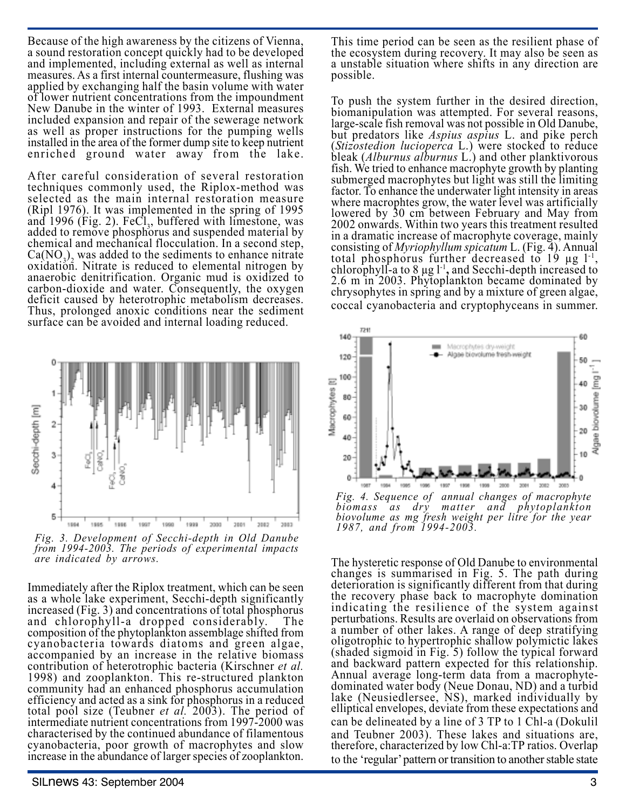Because of the high awareness by the citizens of Vienna, a sound restoration concept quickly had to be developed and implemented, including external as well as internal measures. As a first internal countermeasure, flushing was applied by exchanging half the basin volume with water of lower nutrient concentrations from the impoundment New Danube in the winter of 1993. External measures included expansion and repair of the sewerage network as well as proper instructions for the pumping wells installed in the area of the former dump site to keep nutrient enriched ground water away from the lake.

After careful consideration of several restoration techniques commonly used, the Riplox-method was selected as the main internal restoration measure (Ripl 1976). It was implemented in the spring of 1995 and 1996 (Fig. 2).  $FeCl<sub>3</sub>$ , buffered with limestone, was added to remove phosphorus and suspended material by chemical and mechanical flocculation. In a second step,  $Ca(NO<sub>3</sub>)<sub>2</sub>$  was added to the sediments to enhance nitrate oxidation. Nitrate is reduced to elemental nitrogen by anaerobic denitrification. Organic mud is oxidized to carbon-dioxide and water. Consequently, the oxygen deficit caused by heterotrophic metabolism decreases. Thus, prolonged anoxic conditions near the sediment surface can be avoided and internal loading reduced.



*Fig. 3. Development of Secchi-depth in Old Danube from 1994-2003. The periods of experimental impacts are indicated by arrows.*

Immediately after the Riplox treatment, which can be seen as a whole lake experiment, Secchi-depth significantly increased (Fig. 3) and concentrations of total phosphorus and chlorophyll-a dropped considerably. The composition of the phytoplankton assemblage shifted from cyanobacteria towards diatoms and green algae, accompanied by an increase in the relative biomass contribution of heterotrophic bacteria (Kirschner *et al.* 1998) and zooplankton. This re-structured plankton community had an enhanced phosphorus accumulation efficiency and acted as a sink for phosphorus in a reduced total pool size (Teubner *et al.* 2003). The period of intermediate nutrient concentrations from 1997-2000 was characterised by the continued abundance of filamentous cyanobacteria, poor growth of macrophytes and slow increase in the abundance of larger species of zooplankton.

This time period can be seen as the resilient phase of the ecosystem during recovery. It may also be seen as a unstable situation where shifts in any direction are possible.

To push the system further in the desired direction, biomanipulation was attempted. For several reasons, large-scale fish removal was not possible in Old Danube, but predators like *Aspius aspius* L. and pike perch (*Stizostedion lucioperca* L.) were stocked to reduce bleak (*Alburnus alburnus* L.) and other planktivorous fish. We tried to enhance macrophyte growth by planting submerged macrophytes but light was still the limiting factor. To enhance the underwater light intensity in areas where macrophtes grow, the water level was artificially lowered by 30 cm between February and May from 2002 onwards. Within two years this treatment resulted in a dramatic increase of macrophyte coverage, mainly consisting of *Myriophyllum spicatum* L. (Fig. 4). Annual total phosphorus further decreased to 19 µg l-1, chlorophyll-a to 8 µg l-1**,** and Secchi-depth increased to 2.6 m in 2003. Phytoplankton became dominated by chrysophytes in spring and by a mixture of green algae, coccal cyanobacteria and cryptophyceans in summer.



*Fig. 4. Sequence of annual changes of macrophyte biomass as dry matter and phytoplankton biovolume as mg fresh weight per litre for the year 1987, and from 1994-2003.*

The hysteretic response of Old Danube to environmental changes is summarised in Fig. 5. The path during deterioration is significantly different from that during the recovery phase back to macrophyte domination indicating the resilience of the system against perturbations. Results are overlaid on observations from a number of other lakes. A range of deep stratifying oligotrophic to hypertrophic shallow polymictic lakes (shaded sigmoid in Fig. 5) follow the typical forward and backward pattern expected for this relationship. Annual average long-term data from a macrophytedominated water body (Neue Donau, ND) and a turbid lake (Neusiedlersee, NS), marked individually by elliptical envelopes, deviate from these expectations and can be delineated by a line of 3 TP to 1 Chl-a (Dokulil and Teubner 2003). These lakes and situations are, therefore, characterized by low Chl-a:TP ratios. Overlap to the 'regular' pattern or transition to another stable state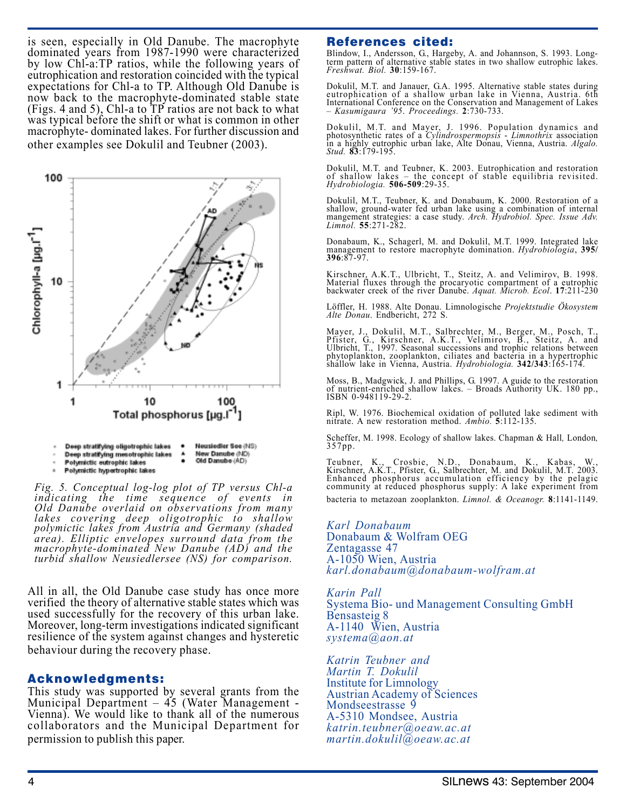is seen, especially in Old Danube. The macrophyte dominated years from 1987-1990 were characterized by low Chl-a:TP ratios, while the following years of eutrophication and restoration coincided with the typical expectations for Chl-a to TP. Although Old Danube is now back to the macrophyte-dominated stable state (Figs. 4 and 5), Chl-a to TP ratios are not back to what was typical before the shift or what is common in other macrophyte- dominated lakes. For further discussion and other examples see Dokulil and Teubner (2003).



- Deep stratifying mesotrophic lakes Old Danube (AD) Polymictic eutrophic lakes
- Polymictic hypertrophic lakes ٠

*Fig. 5. Conceptual log-log plot of TP versus Chl-a indicating the time sequence of events in Old Danube overlaid on observations from many lakes covering deep oligotrophic to shallow polymictic lakes from Austria and Germany (shaded area). Elliptic envelopes surround data from the macrophyte-dominated New Danube (AD) and the turbid shallow Neusiedlersee (NS) for comparison.*

All in all, the Old Danube case study has once more verified the theory of alternative stable states which was used successfully for the recovery of this urban lake. Moreover, long-term investigations indicated significant resilience of the system against changes and hysteretic behaviour during the recovery phase.

#### Acknowledgments:

This study was supported by several grants from the Municipal Department – 45 (Water Management - Vienna). We would like to thank all of the numerous collaborators and the Municipal Department for permission to publish this paper.

### References cited:

Blindow, I., Andersson, G., Hargeby, A. and Johannson, S. 1993. Longterm pattern of alternative stable states in two shallow eutrophic lakes. *Freshwat. Biol.* **30**:159-167.

Dokulil, M.T. and Janauer, G.A. 1995. Alternative stable states during eutrophication of a shallow urban lake in Vienna, Austria. 6th International Conference on the Conservation and Management of Lakes – *Kasumigaura '95*. *Proceedings.* **2**:730-733.

Dokulil, M.T. and Mayer, J. 1996. Population dynamics and photosynthetic rates of a *Cylindrospermopsis* - *Limnothrix* association in a highly eutrophic urban lake, Alte Donau, Vienna, Austria. *Algalo. Stud.* **<sup>83</sup>**:179-195.

Dokulil, M.T. and Teubner, K. 2003. Eutrophication and restoration of shallow lakes – the concept of stable equilibria revisited. *Hydrobiologia.* **506-509**:29-35.

Dokulil, M.T., Teubner, K. and Donabaum, K. 2000. Restoration of a shallow, ground-water fed urban lake using a combination of internal mangement strategies: a case study. *Arch. Hydrobiol. Spec. Issue Adv. Limnol.* **55**:271-282.

Donabaum, K., Schagerl, M. and Dokulil, M.T. 1999. Integrated lake management to restore macrophyte domination. *Hydrobiologia*, **395/ 396**:87-97.

Kirschner, A.K.T., Ulbricht, T., Steitz, A. and Velimirov, B. 1998. Material fluxes through the procaryotic compartment of a eutrophic backwater creek of the river Danube. *Aquat. Microb. Ecol*. **17**:211-230

Löffler, H. 1988. Alte Donau. Limnologische *Projektstudie Ökosystem Alte Donau*. Endbericht, 272 S.

Mayer, J., Dokulil, M.T., Salbrechter, M., Berger, M., Posch, T., Pfister, G., Kirschner, A.K.T., Velimirov, B., Steitz, A. and Ulbricht, T., 1997. Seasonal successions and trophic relations between phytoplankton, zooplankton, ciliates and bacteria in a hypertrophic shallow lake in Vienna, Austria. *Hydrobiologia.* **342/343**:165-174.

Moss, B., Madgwick, J. and Phillips, G. 1997. A guide to the restoration of nutrient-enriched shallow lakes. – Broads Authority UK. 180 pp., ISBN 0-948119-29-2.

Ripl, W. 1976. Biochemical oxidation of polluted lake sediment with nitrate. A new restoration method. *Ambio.* **5**:112-135.

Scheffer, M. 1998. Ecology of shallow lakes. Chapman & Hall*,* London*,* 357pp.

Teubner, K., Crosbie, N.D., Donabaum, K., Kabas, W., Kirschner, A.K.T., Pfister, G., Salbrechter, M. and Dokulil, M.T. 2003. Enhanced phosphorus accumulation efficiency by the pelagic community at reduced phosphorus supply: A lake experiment from

bacteria to metazoan zooplankton. *Limnol. & Oceanogr.* **8**:1141-1149.

*Karl Donabaum* Donabaum & Wolfram OEG Zentagasse 47 A-1050 Wien, Austria *karl.donabaum@donabaum-wolfram.at*

*Karin Pall* Systema Bio- und Management Consulting GmbH Bensasteig 8 A-1140 Wien, Austria *systema@aon.at*

*Katrin Teubner and Martin T. Dokulil* Institute for Limnology Austrian Academy of Sciences Mondseestrasse 9 A-5310 Mondsee, Austria *katrin.teubner@oeaw.ac.at martin.dokulil@oeaw.ac.at*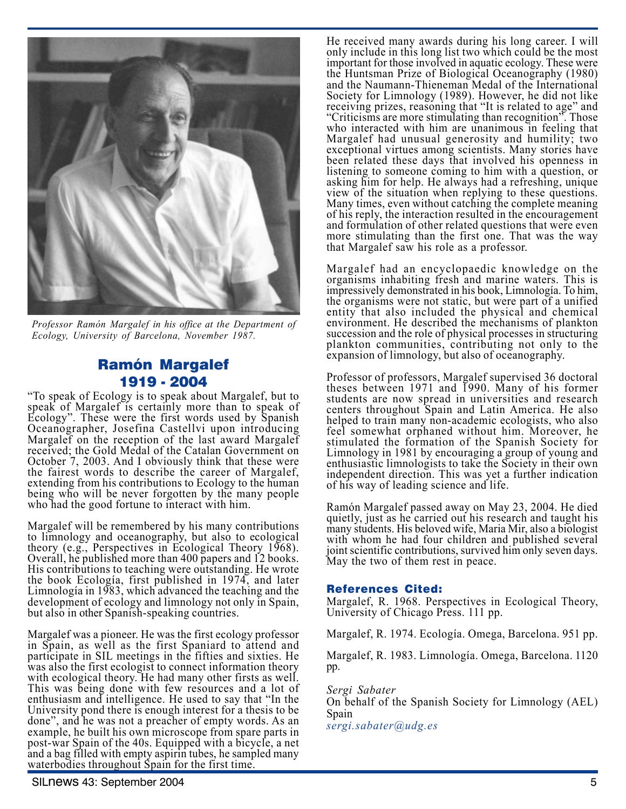

*Professor Ramón Margalef in his office at the Department of Ecology, University of Barcelona, November 1987.*

# Ramón Margalef 1919 - 2004

"To speak of Ecology is to speak about Margalef, but to speak of Margalef is certainly more than to speak of Ecology". These were the first words used by Spanish Oceanographer, Josefina Castellvi upon introducing Margalef on the reception of the last award Margalef received; the Gold Medal of the Catalan Government on October 7, 2003. And I obviously think that these were the fairest words to describe the career of Margalef, extending from his contributions to Ecology to the human being who will be never forgotten by the many people who had the good fortune to interact with him.

Margalef will be remembered by his many contributions to limnology and oceanography, but also to ecological theory (e.g., Perspectives in Ecological Theory 1968). Overall, he published more than 400 papers and 12 books. His contributions to teaching were outstanding. He wrote the book Ecología, first published in 1974, and later Limnología in 1983, which advanced the teaching and the development of ecology and limnology not only in Spain, but also in other Spanish-speaking countries.

Margalef was a pioneer. He was the first ecology professor in Spain, as well as the first Spaniard to attend and participate in SIL meetings in the fifties and sixties. He was also the first ecologist to connect information theory with ecological theory. He had many other firsts as well. This was being done with few resources and a lot of enthusiasm and intelligence. He used to say that "In the University pond there is enough interest for a thesis to be done", and he was not a preacher of empty words. As an example, he built his own microscope from spare parts in post-war Spain of the 40s. Equipped with a bicycle, a net and a bag filled with empty aspirin tubes, he sampled many waterbodies throughout Spain for the first time.

He received many awards during his long career. I will only include in this long list two which could be the most important for those involved in aquatic ecology. These were the Huntsman Prize of Biological Oceanography (1980) and the Naumann-Thieneman Medal of the International Society for Limnology (1989). However, he did not like receiving prizes, reasoning that "It is related to age" and "Criticisms are more stimulating than recognition". Those who interacted with him are unanimous in feeling that Margalef had unusual generosity and humility; two exceptional virtues among scientists. Many stories have been related these days that involved his openness in listening to someone coming to him with a question, or asking him for help. He always had a refreshing, unique view of the situation when replying to these questions. Many times, even without catching the complete meaning of his reply, the interaction resulted in the encouragement and formulation of other related questions that were even more stimulating than the first one. That was the way that Margalef saw his role as a professor.

Margalef had an encyclopaedic knowledge on the organisms inhabiting fresh and marine waters. This is impressively demonstrated in his book, Limnología. To him, the organisms were not static, but were part of a unified entity that also included the physical and chemical environment. He described the mechanisms of plankton succession and the role of physical processes in structuring plankton communities, contributing not only to the expansion of limnology, but also of oceanography.

Professor of professors, Margalef supervised 36 doctoral theses between 1971 and 1990. Many of his former students are now spread in universities and research centers throughout Spain and Latin America. He also helped to train many non-academic ecologists, who also feel somewhat orphaned without him. Moreover, he stimulated the formation of the Spanish Society for Limnology in 1981 by encouraging a group of young and enthusiastic limnologists to take the Society in their own independent direction. This was yet a further indication of his way of leading science and life.

Ramón Margalef passed away on May 23, 2004. He died quietly, just as he carried out his research and taught his many students. His beloved wife, Maria Mir, also a biologist with whom he had four children and published several joint scientific contributions, survived him only seven days. May the two of them rest in peace.

#### References Cited:

Margalef, R. 1968. Perspectives in Ecological Theory, University of Chicago Press. 111 pp.

Margalef, R. 1974. Ecología. Omega, Barcelona. 951 pp.

Margalef, R. 1983. Limnología. Omega, Barcelona. 1120 pp.

*Sergi Sabater* On behalf of the Spanish Society for Limnology (AEL) Spain *sergi.sabater@udg.es*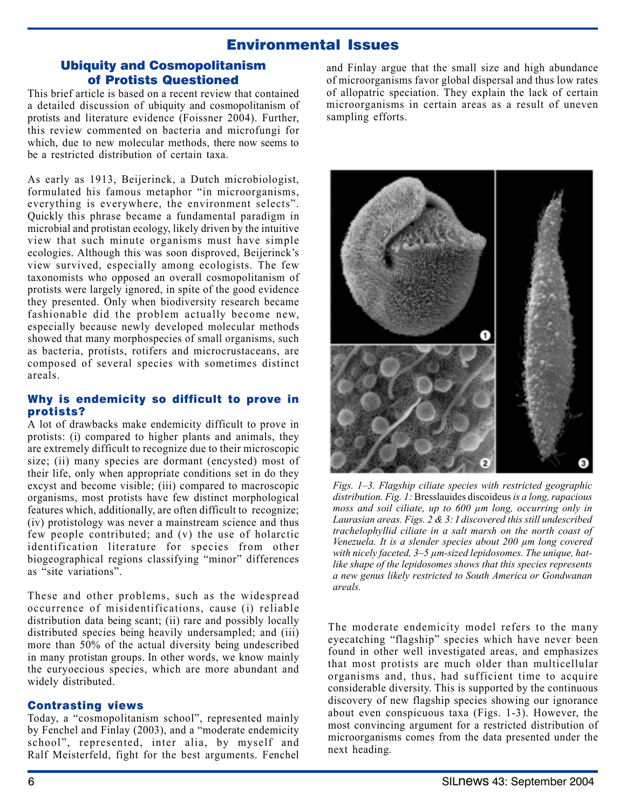# Environmental Issues

## Ubiquity and Cosmopolitanism of Protists Questioned

This brief article is based on a recent review that contained a detailed discussion of ubiquity and cosmopolitanism of protists and literature evidence (Foissner 2004). Further, this review commented on bacteria and microfungi for which, due to new molecular methods, there now seems to be a restricted distribution of certain taxa.

As early as 1913, Beijerinck, a Dutch microbiologist, formulated his famous metaphor "in microorganisms, everything is everywhere, the environment selects". Quickly this phrase became a fundamental paradigm in microbial and protistan ecology, likely driven by the intuitive view that such minute organisms must have simple ecologies. Although this was soon disproved, Beijerinck's view survived, especially among ecologists. The few taxonomists who opposed an overall cosmopolitanism of protists were largely ignored, in spite of the good evidence they presented. Only when biodiversity research became fashionable did the problem actually become new, especially because newly developed molecular methods showed that many morphospecies of small organisms, such as bacteria, protists, rotifers and microcrustaceans, are composed of several species with sometimes distinct areals.

### Why is endemicity so difficult to prove in protists?

A lot of drawbacks make endemicity difficult to prove in protists: (i) compared to higher plants and animals, they are extremely difficult to recognize due to their microscopic size; (ii) many species are dormant (encysted) most of their life, only when appropriate conditions set in do they excyst and become visible; (iii) compared to macroscopic organisms, most protists have few distinct morphological features which, additionally, are often difficult to recognize; (iv) protistology was never a mainstream science and thus few people contributed; and (v) the use of holarctic identification literature for species from other biogeographical regions classifying "minor" differences as "site variations".

These and other problems, such as the widespread occurrence of misidentifications, cause (i) reliable distribution data being scant; (ii) rare and possibly locally distributed species being heavily undersampled; and (iii) more than 50% of the actual diversity being undescribed in many protistan groups. In other words, we know mainly the euryoecious species, which are more abundant and widely distributed.

#### Contrasting views

Today, a "cosmopolitanism school", represented mainly by Fenchel and Finlay (2003), and a "moderate endemicity school", represented, inter alia, by myself and Ralf Meisterfeld, fight for the best arguments. Fenchel and Finlay argue that the small size and high abundance of microorganisms favor global dispersal and thus low rates of allopatric speciation. They explain the lack of certain microorganisms in certain areas as a result of uneven sampling efforts.



*Figs. 1–3. Flagship ciliate species with restricted geographic distribution. Fig. 1:* Bresslauides discoideus *is a long, rapacious moss and soil ciliate, up to 600 µm long, occurring only in Laurasian areas. Figs. 2 & 3: I discovered this still undescribed trachelophyllid ciliate in a salt marsh on the north coast of Venezuela. It is a slender species about 200 µm long covered with nicely faceted, 3–5 µm-sized lepidosomes. The unique, hatlike shape of the lepidosomes shows that this species represents a new genus likely restricted to South America or Gondwanan areals.*

The moderate endemicity model refers to the many eyecatching "flagship" species which have never been found in other well investigated areas, and emphasizes that most protists are much older than multicellular organisms and, thus, had sufficient time to acquire considerable diversity. This is supported by the continuous discovery of new flagship species showing our ignorance about even conspicuous taxa (Figs. 1-3). However, the most convincing argument for a restricted distribution of microorganisms comes from the data presented under the next heading.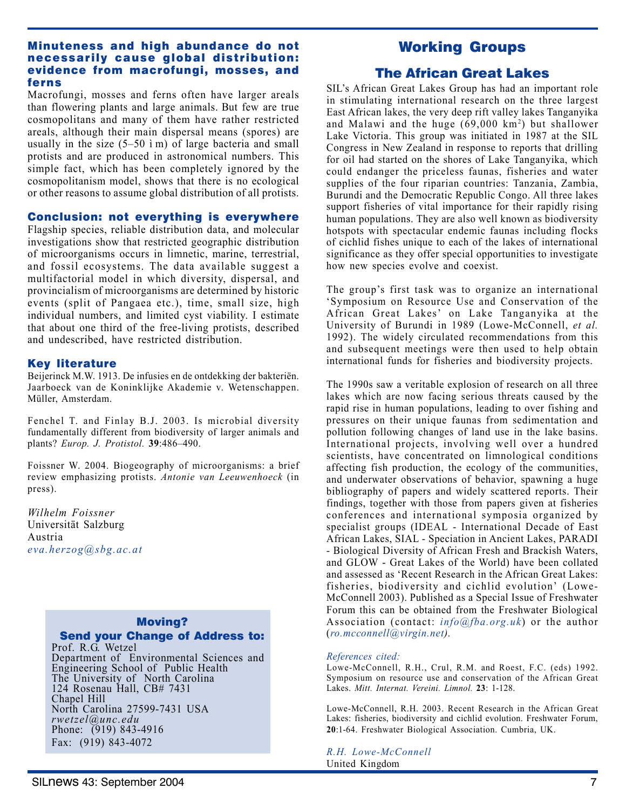#### Minuteness and high abundance do not necessarily cause global distribution: evidence from macrofungi, mosses, and ferns

Macrofungi, mosses and ferns often have larger areals than flowering plants and large animals. But few are true cosmopolitans and many of them have rather restricted areals, although their main dispersal means (spores) are usually in the size (5–50 ì m) of large bacteria and small protists and are produced in astronomical numbers. This simple fact, which has been completely ignored by the cosmopolitanism model, shows that there is no ecological or other reasons to assume global distribution of all protists.

### Conclusion: not everything is everywhere

Flagship species, reliable distribution data, and molecular investigations show that restricted geographic distribution of microorganisms occurs in limnetic, marine, terrestrial, and fossil ecosystems. The data available suggest a multifactorial model in which diversity, dispersal, and provincialism of microorganisms are determined by historic events (split of Pangaea etc.), time, small size, high individual numbers, and limited cyst viability. I estimate that about one third of the free-living protists, described and undescribed, have restricted distribution.

#### Key literature

Beijerinck M.W. 1913. De infusies en de ontdekking der bakteriën. Jaarboeck van de Koninklijke Akademie v. Wetenschappen. Müller, Amsterdam.

Fenchel T. and Finlay B.J. 2003. Is microbial diversity fundamentally different from biodiversity of larger animals and plants? *Europ. J. Protistol.* **39**:486–490.

Foissner W. 2004. Biogeography of microorganisms: a brief review emphasizing protists. *Antonie van Leeuwenhoeck* (in press).

*Wilhelm Foissner* Universität Salzburg Austria *eva.herzog@sbg.ac.at*

# Moving?

# Send your Change of Address to:

Prof. R.G. Wetzel Department of Environmental Sciences and Engineering School of Public Health The University of North Carolina 124 Rosenau Hall, CB# 7431 Chapel Hill North Carolina 27599-7431 USA *rwetzel@unc.edu* Phone: (919) 843-4916 Fax: (919) 843-4072

# Working Groups

# The African Great Lakes

SIL's African Great Lakes Group has had an important role in stimulating international research on the three largest East African lakes, the very deep rift valley lakes Tanganyika and Malawi and the huge  $(69,000 \text{ km}^2)$  but shallower Lake Victoria. This group was initiated in 1987 at the SIL Congress in New Zealand in response to reports that drilling for oil had started on the shores of Lake Tanganyika, which could endanger the priceless faunas, fisheries and water supplies of the four riparian countries: Tanzania, Zambia, Burundi and the Democratic Republic Congo. All three lakes support fisheries of vital importance for their rapidly rising human populations. They are also well known as biodiversity hotspots with spectacular endemic faunas including flocks of cichlid fishes unique to each of the lakes of international significance as they offer special opportunities to investigate how new species evolve and coexist.

The group's first task was to organize an international 'Symposium on Resource Use and Conservation of the African Great Lakes' on Lake Tanganyika at the University of Burundi in 1989 (Lowe-McConnell, *et al.* 1992). The widely circulated recommendations from this and subsequent meetings were then used to help obtain international funds for fisheries and biodiversity projects.

The 1990s saw a veritable explosion of research on all three lakes which are now facing serious threats caused by the rapid rise in human populations, leading to over fishing and pressures on their unique faunas from sedimentation and pollution following changes of land use in the lake basins. International projects, involving well over a hundred scientists, have concentrated on limnological conditions affecting fish production, the ecology of the communities, and underwater observations of behavior, spawning a huge bibliography of papers and widely scattered reports. Their findings, together with those from papers given at fisheries conferences and international symposia organized by specialist groups (IDEAL - International Decade of East African Lakes, SIAL - Speciation in Ancient Lakes, PARADI - Biological Diversity of African Fresh and Brackish Waters, and GLOW - Great Lakes of the World) have been collated and assessed as 'Recent Research in the African Great Lakes: fisheries, biodiversity and cichlid evolution' (Lowe-McConnell 2003). Published as a Special Issue of Freshwater Forum this can be obtained from the Freshwater Biological Association (contact: *info@fba.org.uk*) or the author (*ro.mcconnell@virgin.net).*

#### *References cited:*

Lowe-McConnell, R.H., Crul, R.M. and Roest, F.C. (eds) 1992. Symposium on resource use and conservation of the African Great Lakes. *Mitt. Internat. Vereini. Limnol.* **23**: 1-128.

Lowe-McConnell, R.H. 2003. Recent Research in the African Great Lakes: fisheries, biodiversity and cichlid evolution. Freshwater Forum, **20**:1-64. Freshwater Biological Association. Cumbria, UK.

*R.H. Lowe-McConnell* United Kingdom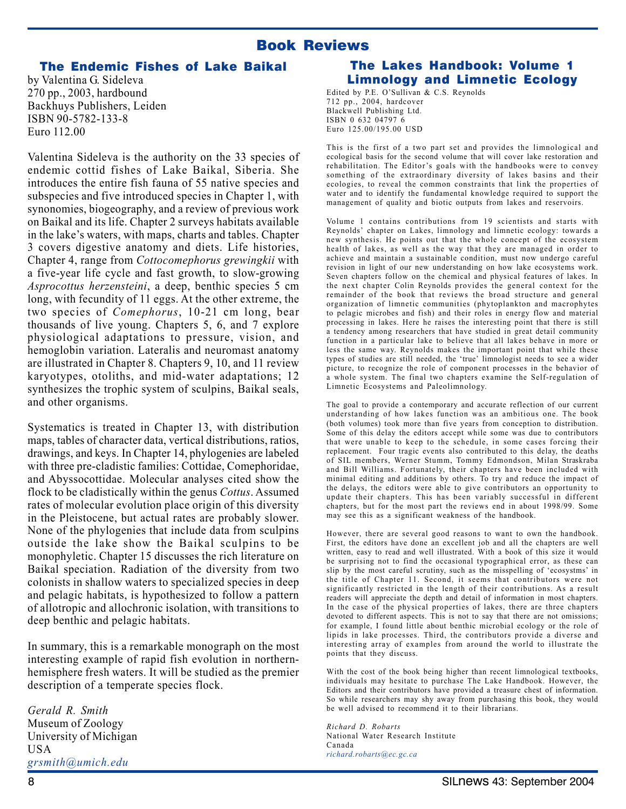# Book Reviews

### The Endemic Fishes of Lake Baikal

by Valentina G. Sideleva 270 pp., 2003, hardbound Backhuys Publishers, Leiden ISBN 90-5782-133-8 Euro 112.00

Valentina Sideleva is the authority on the 33 species of endemic cottid fishes of Lake Baikal, Siberia. She introduces the entire fish fauna of 55 native species and subspecies and five introduced species in Chapter 1, with synonomies, biogeography, and a review of previous work on Baikal and its life. Chapter 2 surveys habitats available in the lake's waters, with maps, charts and tables. Chapter 3 covers digestive anatomy and diets. Life histories, Chapter 4, range from *Cottocomephorus grewingkii* with a five-year life cycle and fast growth, to slow-growing *Asprocottus herzensteini*, a deep, benthic species 5 cm long, with fecundity of 11 eggs. At the other extreme, the two species of *Comephorus*, 10-21 cm long, bear thousands of live young. Chapters 5, 6, and 7 explore physiological adaptations to pressure, vision, and hemoglobin variation. Lateralis and neuromast anatomy are illustrated in Chapter 8. Chapters 9, 10, and 11 review karyotypes, otoliths, and mid-water adaptations; 12 synthesizes the trophic system of sculpins, Baikal seals, and other organisms.

Systematics is treated in Chapter 13, with distribution maps, tables of character data, vertical distributions, ratios, drawings, and keys. In Chapter 14, phylogenies are labeled with three pre-cladistic families: Cottidae, Comephoridae, and Abyssocottidae. Molecular analyses cited show the flock to be cladistically within the genus *Cottus*. Assumed rates of molecular evolution place origin of this diversity in the Pleistocene, but actual rates are probably slower. None of the phylogenies that include data from sculpins outside the lake show the Baikal sculpins to be monophyletic. Chapter 15 discusses the rich literature on Baikal speciation. Radiation of the diversity from two colonists in shallow waters to specialized species in deep and pelagic habitats, is hypothesized to follow a pattern of allotropic and allochronic isolation, with transitions to deep benthic and pelagic habitats.

In summary, this is a remarkable monograph on the most interesting example of rapid fish evolution in northernhemisphere fresh waters. It will be studied as the premier description of a temperate species flock.

*Gerald R. Smith* Museum of Zoology University of Michigan USA *grsmith@umich.edu*

# The Lakes Handbook: Volume 1 Limnology and Limnetic Ecology

Edited by P.E. O'Sullivan & C.S. Reynolds 712 pp., 2004, hardcover Blackwell Publishing Ltd. ISBN 0 632 04797 6 Euro 125.00/195.00 USD

This is the first of a two part set and provides the limnological and ecological basis for the second volume that will cover lake restoration and rehabilitation. The Editor's goals with the handbooks were to convey something of the extraordinary diversity of lakes basins and their ecologies, to reveal the common constraints that link the properties of water and to identify the fundamental knowledge required to support the management of quality and biotic outputs from lakes and reservoirs.

Volume 1 contains contributions from 19 scientists and starts with Reynolds' chapter on Lakes, limnology and limnetic ecology: towards a new synthesis. He points out that the whole concept of the ecosystem health of lakes, as well as the way that they are managed in order to achieve and maintain a sustainable condition, must now undergo careful revision in light of our new understanding on how lake ecosystems work. Seven chapters follow on the chemical and physical features of lakes. In the next chapter Colin Reynolds provides the general context for the remainder of the book that reviews the broad structure and general organization of limnetic communities (phytoplankton and macrophytes to pelagic microbes and fish) and their roles in energy flow and material processing in lakes. Here he raises the interesting point that there is still a tendency among researchers that have studied in great detail community function in a particular lake to believe that all lakes behave in more or less the same way. Reynolds makes the important point that while these types of studies are still needed, the 'true' limnologist needs to see a wider picture, to recognize the role of component processes in the behavior of a whole system. The final two chapters examine the Self-regulation of Limnetic Ecosystems and Paleolimnology.

The goal to provide a contemporary and accurate reflection of our current understanding of how lakes function was an ambitious one. The book (both volumes) took more than five years from conception to distribution. Some of this delay the editors accept while some was due to contributors that were unable to keep to the schedule, in some cases forcing their replacement. Four tragic events also contributed to this delay, the deaths of SIL members, Werner Stumm, Tommy Edmondson, Milan Straskraba and Bill Williams. Fortunately, their chapters have been included with minimal editing and additions by others. To try and reduce the impact of the delays, the editors were able to give contributors an opportunity to update their chapters. This has been variably successful in different chapters, but for the most part the reviews end in about 1998/99. Some may see this as a significant weakness of the handbook.

However, there are several good reasons to want to own the handbook. First, the editors have done an excellent job and all the chapters are well written, easy to read and well illustrated. With a book of this size it would be surprising not to find the occasional typographical error, as these can slip by the most careful scrutiny, such as the misspelling of 'ecosystms' in the title of Chapter 11. Second, it seems that contributors were not significantly restricted in the length of their contributions. As a result readers will appreciate the depth and detail of information in most chapters. In the case of the physical properties of lakes, there are three chapters devoted to different aspects. This is not to say that there are not omissions; for example, I found little about benthic microbial ecology or the role of lipids in lake processes. Third, the contributors provide a diverse and interesting array of examples from around the world to illustrate the points that they discuss.

With the cost of the book being higher than recent limnological textbooks, individuals may hesitate to purchase The Lake Handbook. However, the Editors and their contributors have provided a treasure chest of information. So while researchers may shy away from purchasing this book, they would be well advised to recommend it to their librarians.

*Richard D. Robarts* National Water Research Institute Canada *richard.robarts@ec.gc.ca*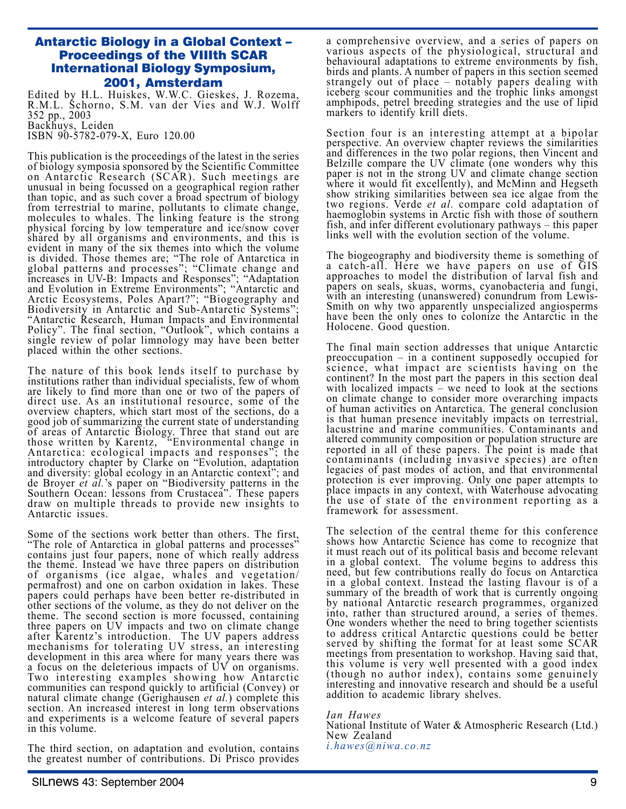### Antarctic Biology in a Global Context – Proceedings of the VIIIth SCAR International Biology Symposium, 2001, Amsterdam

Edited by H.L. Huiskes, W.W.C. Gieskes, J. Rozema, R.M.L. Schorno, S.M. van der Vies and W.J. Wolff 352 pp., 2003 Backhuys, Leiden ISBN 90-5782-079-X, Euro 120.00

This publication is the proceedings of the latest in the series of biology symposia sponsored by the Scientific Committee on Antarctic Research (SCAR). Such meetings are unusual in being focussed on a geographical region rather than topic, and as such cover a broad spectrum of biology from terrestrial to marine, pollutants to climate change, molecules to whales. The linking feature is the strong physical forcing by low temperature and ice/snow cover shared by all organisms and environments, and this is evident in many of the six themes into which the volume is divided. Those themes are; "The role of Antarctica in global patterns and processes"; "Climate change and increases in UV-B: Impacts and Responses"; "Adaptation and Evolution in Extreme Environments"; "Antarctic and Arctic Ecosystems, Poles Apart?"; "Biogeography and Biodiversity in Antarctic and Sub-Antarctic Systems"; "Antarctic Research, Human Impacts and Environmental Policy". The final section, "Outlook", which contains a single review of polar limnology may have been better placed within the other sections.

The nature of this book lends itself to purchase by institutions rather than individual specialists, few of whom are likely to find more than one or two of the papers of direct use. As an institutional resource, some of the overview chapters, which start most of the sections, do a good job of summarizing the current state of understanding of areas of Antarctic Biology. Three that stand out are those written by Karentz, "Environmental change in Antarctica: ecological impacts and responses"; the introductory chapter by Clarke on "Evolution, adaptation and diversity: global ecology in an Antarctic context"; and de Broyer *et al.*'s paper on "Biodiversity patterns in the Southern Ocean: lessons from Crustacea". These papers draw on multiple threads to provide new insights to Antarctic issues.

Some of the sections work better than others. The first, "The role of Antarctica in global patterns and processes" contains just four papers, none of which really address the theme. Instead we have three papers on distribution of organisms (ice algae, whales and vegetation/ permafrost) and one on carbon oxidation in lakes. These papers could perhaps have been better re-distributed in other sections of the volume, as they do not deliver on the theme. The second section is more focussed, containing three papers on UV impacts and two on climate change after Karentz's introduction. The UV papers address mechanisms for tolerating UV stress, an interesting development in this area where for many years there was a focus on the deleterious impacts of UV on organisms. Two interesting examples showing how Antarctic communities can respond quickly to artificial (Convey) or natural climate change (Gerighausen *et al.*) complete this section. An increased interest in long term observations and experiments is a welcome feature of several papers in this volume.

The third section, on adaptation and evolution, contains the greatest number of contributions. Di Prisco provides a comprehensive overview, and a series of papers on various aspects of the physiological, structural and behavioural adaptations to extreme environments by fish, birds and plants. A number of papers in this section seemed strangely out of place – notably papers dealing with iceberg scour communities and the trophic links amongst amphipods, petrel breeding strategies and the use of lipid markers to identify krill diets.

Section four is an interesting attempt at a bipolar perspective. An overview chapter reviews the similarities and differences in the two polar regions, then Vincent and Belzille compare the UV climate (one wonders why this paper is not in the strong UV and climate change section where it would fit excellently), and McMinn and Hegseth show striking similarities between sea ice algae from the two regions. Verde *et al.* compare cold adaptation of haemoglobin systems in Arctic fish with those of southern fish, and infer different evolutionary pathways – this paper links well with the evolution section of the volume.

The biogeography and biodiversity theme is something of a catch-all. Here we have papers on use of GIS approaches to model the distribution of larval fish and papers on seals, skuas, worms, cyanobacteria and fungi, with an interesting (unanswered) conundrum from Lewis-Smith on why two apparently unspecialized angiosperms have been the only ones to colonize the Antarctic in the Holocene. Good question.

The final main section addresses that unique Antarctic preoccupation – in a continent supposedly occupied for science, what impact are scientists having on the continent? In the most part the papers in this section deal with localized impacts – we need to look at the sections on climate change to consider more overarching impacts of human activities on Antarctica. The general conclusion is that human presence inevitably impacts on terrestrial, lacustrine and marine communities. Contaminants and altered community composition or population structure are reported in all of these papers. The point is made that contaminants (including invasive species) are often legacies of past modes of action, and that environmental protection is ever improving. Only one paper attempts to place impacts in any context, with Waterhouse advocating the use of state of the environment reporting as a framework for assessment.

The selection of the central theme for this conference shows how Antarctic Science has come to recognize that it must reach out of its political basis and become relevant in a global context. The volume begins to address this need, but few contributions really do focus on Antarctica in a global context. Instead the lasting flavour is of a summary of the breadth of work that is currently ongoing by national Antarctic research programmes, organized into, rather than structured around, a series of themes. One wonders whether the need to bring together scientists to address critical Antarctic questions could be better served by shifting the format for at least some SCAR meetings from presentation to workshop. Having said that, this volume is very well presented with a good index (though no author index), contains some genuinely interesting and innovative research and should be a useful addition to academic library shelves.

#### *Ian Hawes*

National Institute of Water & Atmospheric Research (Ltd.) New Zealand

*i.hawes@niwa.co.nz*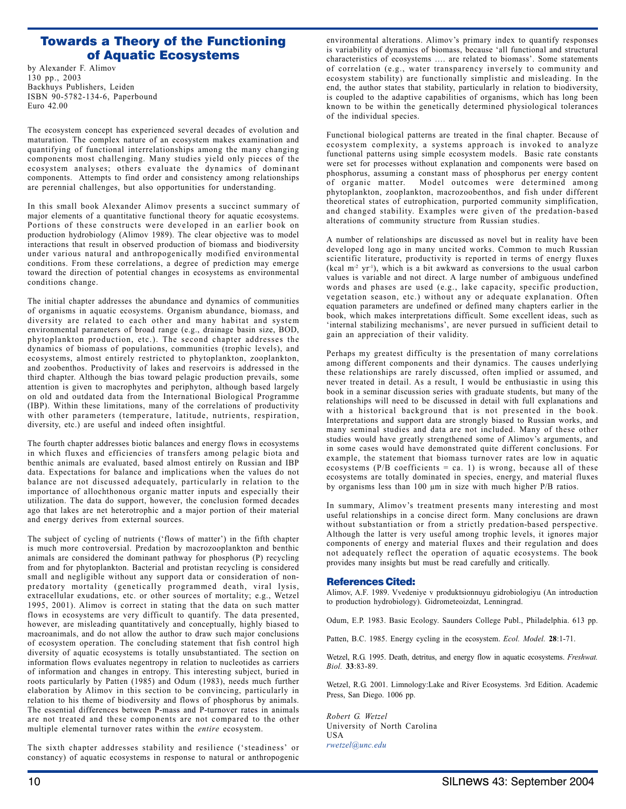# Towards a Theory of the Functioning of Aquatic Ecosystems

by Alexander F. Alimov 130 pp., 2003 Backhuys Publishers, Leiden ISBN 90-5782-134-6, Paperbound Euro 42.00

The ecosystem concept has experienced several decades of evolution and maturation. The complex nature of an ecosystem makes examination and quantifying of functional interrelationships among the many changing components most challenging. Many studies yield only pieces of the ecosystem analyses; others evaluate the dynamics of dominant components. Attempts to find order and consistency among relationships are perennial challenges, but also opportunities for understanding.

In this small book Alexander Alimov presents a succinct summary of major elements of a quantitative functional theory for aquatic ecosystems. Portions of these constructs were developed in an earlier book on production hydrobiology (Alimov 1989). The clear objective was to model interactions that result in observed production of biomass and biodiversity under various natural and anthropogenically modified environmental conditions. From these correlations, a degree of prediction may emerge toward the direction of potential changes in ecosystems as environmental conditions change.

The initial chapter addresses the abundance and dynamics of communities of organisms in aquatic ecosystems. Organism abundance, biomass, and diversity are related to each other and many habitat and system environmental parameters of broad range (e.g., drainage basin size, BOD, phytoplankton production, etc.). The second chapter addresses the dynamics of biomass of populations, communities (trophic levels), and ecosystems, almost entirely restricted to phytoplankton, zooplankton, and zoobenthos. Productivity of lakes and reservoirs is addressed in the third chapter. Although the bias toward pelagic production prevails, some attention is given to macrophytes and periphyton, although based largely on old and outdated data from the International Biological Programme (IBP). Within these limitations, many of the correlations of productivity with other parameters (temperature, latitude, nutrients, respiration, diversity, etc.) are useful and indeed often insightful.

The fourth chapter addresses biotic balances and energy flows in ecosystems in which fluxes and efficiencies of transfers among pelagic biota and benthic animals are evaluated, based almost entirely on Russian and IBP data. Expectations for balance and implications when the values do not balance are not discussed adequately, particularly in relation to the importance of allochthonous organic matter inputs and especially their utilization. The data do support, however, the conclusion formed decades ago that lakes are net heterotrophic and a major portion of their material and energy derives from external sources.

The subject of cycling of nutrients ('flows of matter') in the fifth chapter is much more controversial. Predation by macrozooplankton and benthic animals are considered the dominant pathway for phosphorus (P) recycling from and for phytoplankton. Bacterial and protistan recycling is considered small and negligible without any support data or consideration of nonpredatory mortality (genetically programmed death, viral lysis, extracellular exudations, etc. or other sources of mortality; e.g., Wetzel 1995, 2001). Alimov is correct in stating that the data on such matter flows in ecosystems are very difficult to quantify. The data presented, however, are misleading quantitatively and conceptually, highly biased to macroanimals, and do not allow the author to draw such major conclusions of ecosystem operation. The concluding statement that fish control high diversity of aquatic ecosystems is totally unsubstantiated. The section on information flows evaluates negentropy in relation to nucleotides as carriers of information and changes in entropy. This interesting subject, buried in roots particularly by Patten (1985) and Odum (1983), needs much further elaboration by Alimov in this section to be convincing, particularly in relation to his theme of biodiversity and flows of phosphorus by animals. The essential differences between P-mass and P-turnover rates in animals are not treated and these components are not compared to the other multiple elemental turnover rates within the *entire* ecosystem.

The sixth chapter addresses stability and resilience ('steadiness' or constancy) of aquatic ecosystems in response to natural or anthropogenic environmental alterations. Alimov's primary index to quantify responses is variability of dynamics of biomass, because 'all functional and structural characteristics of ecosystems …. are related to biomass'. Some statements of correlation (e.g., water transparency inversely to community and ecosystem stability) are functionally simplistic and misleading. In the end, the author states that stability, particularly in relation to biodiversity, is coupled to the adaptive capabilities of organisms, which has long been known to be within the genetically determined physiological tolerances of the individual species.

Functional biological patterns are treated in the final chapter. Because of ecosystem complexity, a systems approach is invoked to analyze functional patterns using simple ecosystem models. Basic rate constants were set for processes without explanation and components were based on phosphorus, assuming a constant mass of phosphorus per energy content of organic matter. Model outcomes were determined among phytoplankton, zooplankton, macrozoobenthos, and fish under different theoretical states of eutrophication, purported community simplification, and changed stability. Examples were given of the predation-based alterations of community structure from Russian studies.

A number of relationships are discussed as novel but in reality have been developed long ago in many uncited works. Common to much Russian scientific literature, productivity is reported in terms of energy fluxes  $(kcal m<sup>2</sup> yr<sup>-1</sup>)$ , which is a bit awkward as conversions to the usual carbon values is variable and not direct. A large number of ambiguous undefined words and phases are used (e.g., lake capacity, specific production, vegetation season, etc.) without any or adequate explanation. Often equation parameters are undefined or defined many chapters earlier in the book, which makes interpretations difficult. Some excellent ideas, such as 'internal stabilizing mechanisms', are never pursued in sufficient detail to gain an appreciation of their validity.

Perhaps my greatest difficulty is the presentation of many correlations among different components and their dynamics. The causes underlying these relationships are rarely discussed, often implied or assumed, and never treated in detail. As a result, I would be enthusiastic in using this book in a seminar discussion series with graduate students, but many of the relationships will need to be discussed in detail with full explanations and with a historical background that is not presented in the book. Interpretations and support data are strongly biased to Russian works, and many seminal studies and data are not included. Many of these other studies would have greatly strengthened some of Alimov's arguments, and in some cases would have demonstrated quite different conclusions. For example, the statement that biomass turnover rates are low in aquatic ecosystems ( $P/B$  coefficients = ca. 1) is wrong, because all of these ecosystems are totally dominated in species, energy, and material fluxes by organisms less than 100 µm in size with much higher P/B ratios.

In summary, Alimov's treatment presents many interesting and most useful relationships in a concise direct form. Many conclusions are drawn without substantiation or from a strictly predation-based perspective. Although the latter is very useful among trophic levels, it ignores major components of energy and material fluxes and their regulation and does not adequately reflect the operation of aquatic ecosystems. The book provides many insights but must be read carefully and critically.

#### References Cited:

Alimov, A.F. 1989. Vvedeniye v produktsionnuyu gidrobiologiyu (An introduction to production hydrobiology). Gidrometeoizdat, Lenningrad.

Odum, E.P. 1983. Basic Ecology. Saunders College Publ., Philadelphia. 613 pp.

Patten, B.C. 1985. Energy cycling in the ecosystem. *Ecol. Model.* **28**:1-71.

Wetzel, R.G. 1995. Death, detritus, and energy flow in aquatic ecosystems. *Freshwat. Biol.* **33**:83-89.

Wetzel, R.G. 2001. Limnology:Lake and River Ecosystems. 3rd Edition. Academic Press, San Diego. 1006 pp.

*Robert G. Wetzel* University of North Carolina USA *rwetzel@unc.edu*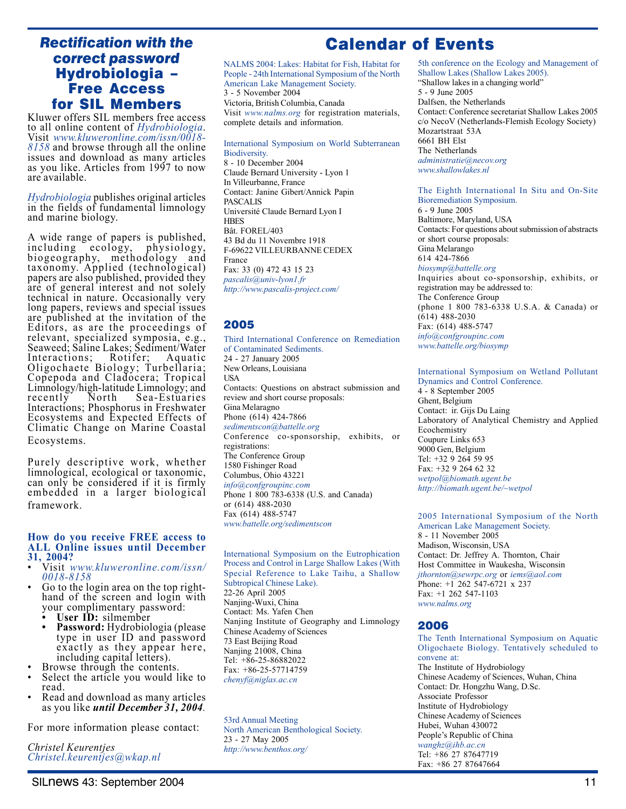# *Rectification with the correct password* Hydrobiologia – Free Access for SIL Members

Kluwer offers SIL members free access to all online content of *Hydrobiologia*. Visit *www.kluweronline.com/issn/0018- 8158* and browse through all the online issues and download as many articles as you like. Articles from 1997 to now are available.

*Hydrobiologia* publishes original articles in the fields of fundamental limnology and marine biology.

A wide range of papers is published,<br>including ecology, physiology,  $\epsilon$  ecology, physiology, biogeography, methodology and taxonomy. Applied (technological) papers are also published, provided they are of general interest and not solely technical in nature. Occasionally very long papers, reviews and special issues are published at the invitation of the Editors, as are the proceedings of relevant, specialized symposia, e.g., Seaweed; Saline Lakes; Sediment/Water<br>Interactions; Rotifer; Aquatic Interactions; Oligochaete Biology; Turbellaria; Copepoda and Cladocera; Tropical Limnology/high-latitude Limnology; and recently North Sea-Estuaries Interactions; Phosphorus in Freshwater Ecosystems and Expected Effects of Climatic Change on Marine Coastal Ecosystems.

Purely descriptive work, whether limnological, ecological or taxonomic, can only be considered if it is firmly embedded in a larger biological framework.

#### **How do you receive FREE access to ALL Online issues until December 31, 2004?**

- Visit *www.kluweronline.com/issn/ 0018-8158*
- Go to the login area on the top right-<br>hand of the screen and login with your complimentary password:
	- User **ID**: silmember<br>• Password: Hydrobiol **• Password:** Hydrobiologia (please type in user ID and password exactly as they appear here, including capital letters).
- Browse through the contents.
- Select the article you would like to read.
- Read and download as many articles as you like *until December 31, 2004.*

For more information please contact:

*Christel Keurentjes Christel.keurentjes@wkap.nl*

# Calendar of Events

NALMS 2004: Lakes: Habitat for Fish, Habitat for People - 24th International Symposium of the North American Lake Management Society. 3 - 5 November 2004 Victoria, British Columbia, Canada Visit *www.nalms.org* for registration materials, complete details and information.

International Symposium on World Subterranean Biodiversity. 8 - 10 December 2004 Claude Bernard University - Lyon 1 In Villeurbanne, France Contact: Janine Gibert/Annick Papin PASCALIS Université Claude Bernard Lyon I **HBES** Bât. FOREL/403 43 Bd du 11 Novembre 1918 F-69622 VILLEURBANNE CEDEX France Fax: 33 (0) 472 43 15 23 *pascalis@univ-lyon1.fr http://www.pascalis-project.com/*

#### 2005

Third International Conference on Remediation of Contaminated Sediments. 24 - 27 January 2005 New Orleans, Louisiana USA Contacts: Questions on abstract submission and review and short course proposals: Gina Melaragno Phone (614) 424-7866 *sedimentscon@battelle.org* Conference co-sponsorship, exhibits, or registrations: The Conference Group 1580 Fishinger Road Columbus, Ohio 43221 *info@confgroupinc.com* Phone 1 800 783-6338 (U.S. and Canada) or (614) 488-2030 Fax (614) 488-5747 *www.battelle.org/sedimentscon*

International Symposium on the Eutrophication Process and Control in Large Shallow Lakes (With Special Reference to Lake Taihu, a Shallow Subtropical Chinese Lake). 22-26 April 2005 Nanjing-Wuxi, China Contact: Ms. Yafen Chen Nanjing Institute of Geography and Limnology Chinese Academy of Sciences 73 East Beijing Road Nanjing 21008, China Tel: +86-25-86882022 Fax: +86-25-57714759 *chenyf@niglas.ac.cn*

53rd Annual Meeting North American Benthological Society. 23 - 27 May 2005 *http://www.benthos.org/*

5th conference on the Ecology and Management of Shallow Lakes (Shallow Lakes 2005). "Shallow lakes in a changing world" 5 - 9 June 2005 Dalfsen, the Netherlands Contact: Conference secretariat Shallow Lakes 2005 c/o NecoV (Netherlands-Flemish Ecology Society) Mozartstraat 53A 6661 BH Elst The Netherlands *administratie@necov.org www.shallowlakes.nl*

The Eighth International In Situ and On-Site Bioremediation Symposium. 6 - 9 June 2005 Baltimore, Maryland, USA Contacts: For questions about submission of abstracts or short course proposals: Gina Melarango 614 424-7866 *biosymp@battelle.org* Inquiries about co-sponsorship, exhibits, or registration may be addressed to: The Conference Group (phone 1 800 783-6338 U.S.A. & Canada) or  $(614)$  488-2030 Fax: (614) 488-5747 *info@confgroupinc.com www.battelle.org/biosymp*

#### International Symposium on Wetland Pollutant Dynamics and Control Conference.

4 - 8 September 2005 Ghent, Belgium Contact: ir. Gijs Du Laing Laboratory of Analytical Chemistry and Applied Ecochemistry Coupure Links 653 9000 Gen, Belgium Tel: +32 9 264 59 95 Fax: +32 9 264 62 32 *wetpol@biomath.ugent.be http://biomath.ugent.be/~wetpol*

2005 International Symposium of the North American Lake Management Society. 8 - 11 November 2005 Madison, Wisconsin, USA Contact: Dr. Jeffrey A. Thornton, Chair Host Committee in Waukesha, Wisconsin *jthornton@sewrpc.org* or *iems@aol.com* Phone:  $+1$  262 547-6721 x 237 Fax: +1 262 547-1103 *www.nalms.org*

#### 2006

The Tenth International Symposium on Aquatic Oligochaete Biology. Tentatively scheduled to convene at: The Institute of Hydrobiology Chinese Academy of Sciences, Wuhan, China Contact: Dr. Hongzhu Wang, D.Sc. Associate Professor Institute of Hydrobiology Chinese Academy of Sciences Hubei, Wuhan 430072 People's Republic of China *wanghz@ihb.ac.cn* Tel: +86 27 87647719 Fax: +86 27 87647664